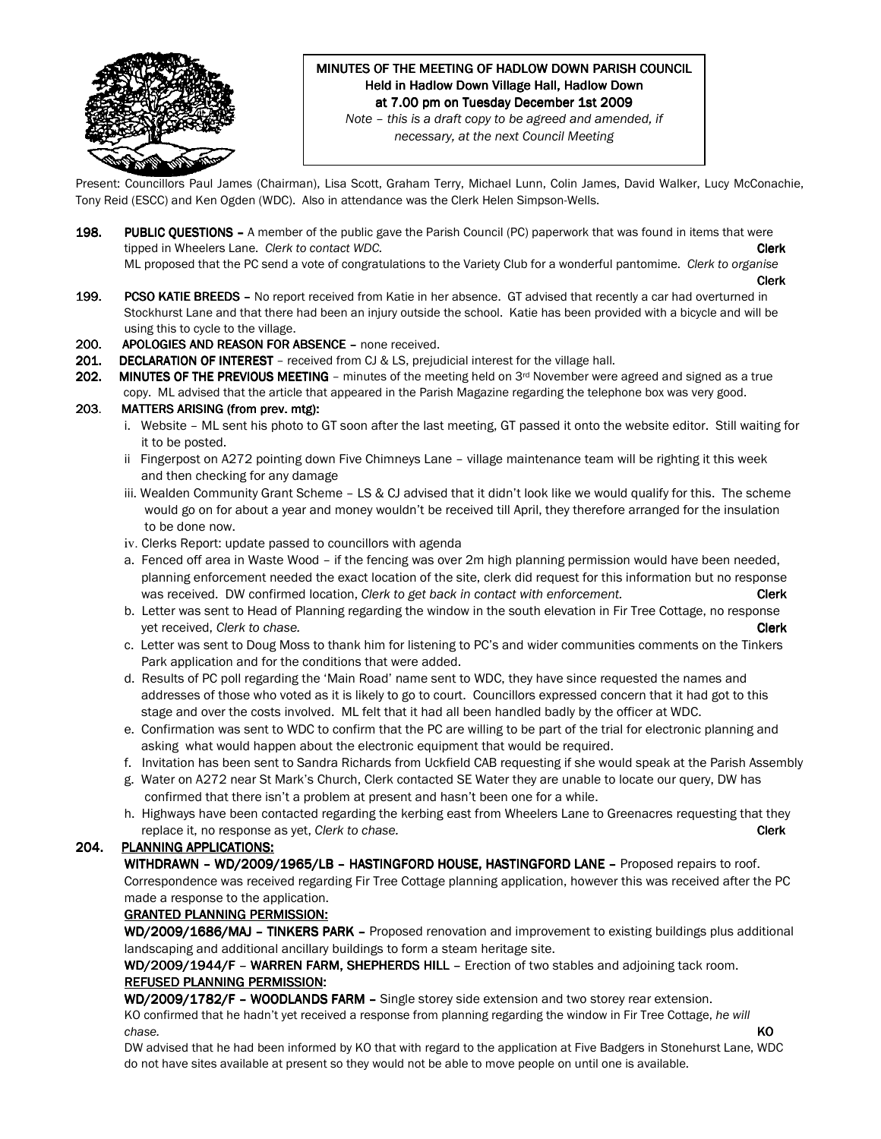

# MINUTES OF THE MEETING OF HADLOW DOWN PARISH COUNCIL Held in Hadlow Down Village Hall, Hadlow Down at 7.00 pm on Tuesday December 1st 2009

Note – this is a draft copy to be agreed and amended, if necessary, at the next Council Meeting

Present: Councillors Paul James (Chairman), Lisa Scott, Graham Terry, Michael Lunn, Colin James, David Walker, Lucy McConachie, Tony Reid (ESCC) and Ken Ogden (WDC). Also in attendance was the Clerk Helen Simpson-Wells.

- 198. PUBLIC QUESTIONS A member of the public gave the Parish Council (PC) paperwork that was found in items that were tipped in Wheelers Lane. Clerk to contact WDC. Clerk Clerk and the contact WDC. ML proposed that the PC send a vote of congratulations to the Variety Club for a wonderful pantomime. Clerk to organise
- and the control of the control of the control of the control of the control of the control of the control of the control of the control of the control of the control of the control of the control of the control of the cont 199. PCSO KATIE BREEDS - No report received from Katie in her absence. GT advised that recently a car had overturned in Stockhurst Lane and that there had been an injury outside the school. Katie has been provided with a bicycle and will be using this to cycle to the village.
- 200. APOLOGIES AND REASON FOR ABSENCE none received.
- 201. DECLARATION OF INTEREST received from CJ & LS, prejudicial interest for the village hall.
- 202. MINUTES OF THE PREVIOUS MEETING minutes of the meeting held on  $3<sup>rd</sup>$  November were agreed and signed as a true copy. ML advised that the article that appeared in the Parish Magazine regarding the telephone box was very good.

### 203. MATTERS ARISING (from prev. mtg):

- i. Website ML sent his photo to GT soon after the last meeting, GT passed it onto the website editor. Still waiting for it to be posted.
- ii Fingerpost on A272 pointing down Five Chimneys Lane village maintenance team will be righting it this week and then checking for any damage
- iii. Wealden Community Grant Scheme LS & CJ advised that it didn't look like we would qualify for this. The scheme would go on for about a year and money wouldn't be received till April, they therefore arranged for the insulation to be done now.
- iv. Clerks Report: update passed to councillors with agenda
- a. Fenced off area in Waste Wood if the fencing was over 2m high planning permission would have been needed, planning enforcement needed the exact location of the site, clerk did request for this information but no response was received. DW confirmed location, Clerk to get back in contact with enforcement. Clerk
- b. Letter was sent to Head of Planning regarding the window in the south elevation in Fir Tree Cottage, no response yet received, Clerk to chase. Contact the contact of the contact of the contact of the clerk clerk clerk contact of the clerk
- c. Letter was sent to Doug Moss to thank him for listening to PC's and wider communities comments on the Tinkers Park application and for the conditions that were added.
- d. Results of PC poll regarding the 'Main Road' name sent to WDC, they have since requested the names and addresses of those who voted as it is likely to go to court. Councillors expressed concern that it had got to this stage and over the costs involved. ML felt that it had all been handled badly by the officer at WDC.
- e. Confirmation was sent to WDC to confirm that the PC are willing to be part of the trial for electronic planning and asking what would happen about the electronic equipment that would be required.
- f. Invitation has been sent to Sandra Richards from Uckfield CAB requesting if she would speak at the Parish Assembly
- g. Water on A272 near St Mark's Church, Clerk contacted SE Water they are unable to locate our query, DW has confirmed that there isn't a problem at present and hasn't been one for a while.
- h. Highways have been contacted regarding the kerbing east from Wheelers Lane to Greenacres requesting that they replace it, no response as yet, Clerk to chase. Clerk to chase and the control of the clerk clerk clerk clerk

### 204. PLANNING APPLICATIONS:

WITHDRAWN – WD/2009/1965/LB – HASTINGFORD HOUSE, HASTINGFORD LANE – Proposed repairs to roof. Correspondence was received regarding Fir Tree Cottage planning application, however this was received after the PC made a response to the application.

### GRANTED PLANNING PERMISSION: GRANTED PLANNING PERMISSION:

WD/2009/1686/MAJ – TINKERS PARK – Proposed renovation and improvement to existing buildings plus additional landscaping and additional ancillary buildings to form a steam heritage site.

WD/2009/1944/F - WARREN FARM, SHEPHERDS HILL - Erection of two stables and adjoining tack room. REFUSED PLANNING PERMISSION:

WD/2009/1782/F - WOODLANDS FARM - Single storey side extension and two storey rear extension.

 KO confirmed that he hadn't yet received a response from planning regarding the window in Fir Tree Cottage, he will chase. KO

DW advised that he had been informed by KO that with regard to the application at Five Badgers in Stonehurst Lane, WDC do not have sites available at present so they would not be able to move people on until one is available.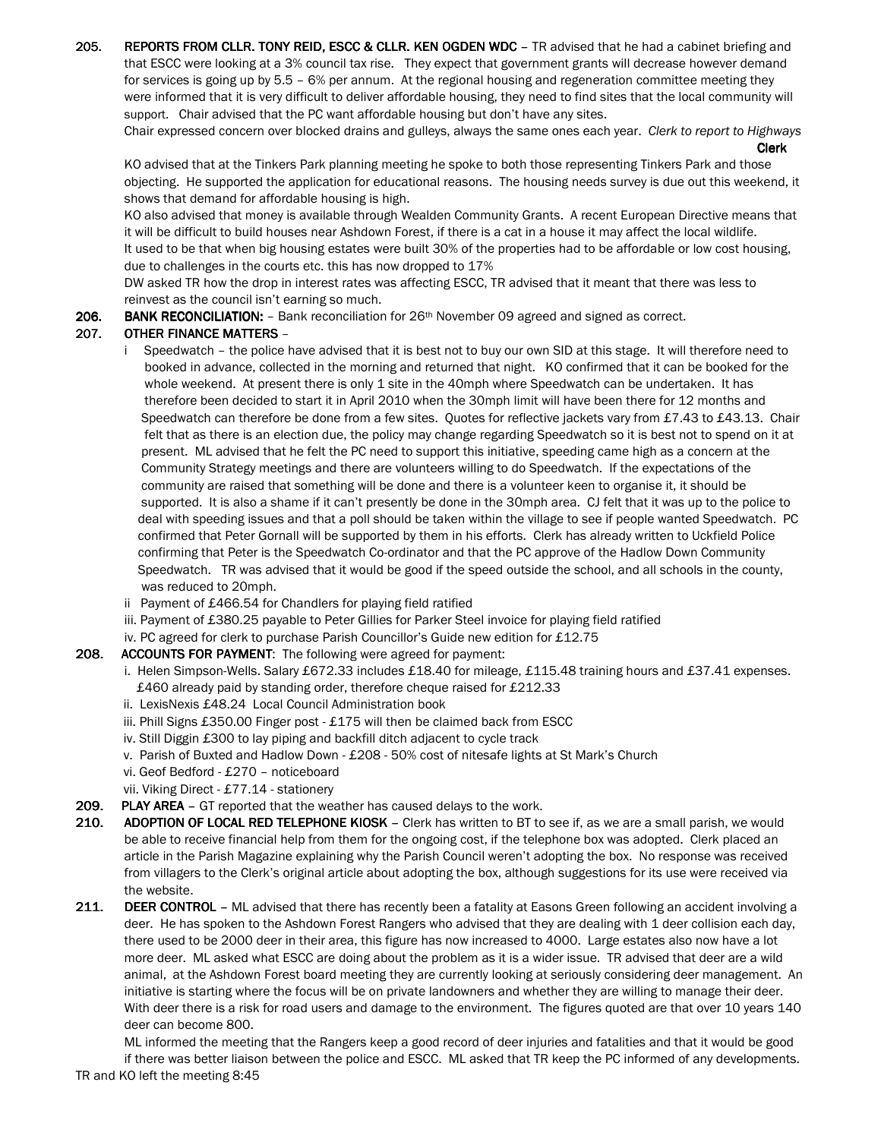205. REPORTS FROM CLLR. TONY REID, ESCC & CLLR. KEN OGDEN WDC – TR advised that he had a cabinet briefing and that ESCC were looking at a 3% council tax rise. They expect that government grants will decrease however demand for services is going up by 5.5 – 6% per annum. At the regional housing and regeneration committee meeting they were informed that it is very difficult to deliver affordable housing, they need to find sites that the local community will support. Chair advised that the PC want affordable housing but don't have any sites.

 Chair expressed concern over blocked drains and gulleys, always the same ones each year. Clerk to report to Highways and the control of the control of the control of the control of the control of the control of the control of the control of the control of the control of the control of the control of the control of the control of the cont

 KO advised that at the Tinkers Park planning meeting he spoke to both those representing Tinkers Park and those objecting. He supported the application for educational reasons. The housing needs survey is due out this weekend, it shows that demand for affordable housing is high.

KO also advised that money is available through Wealden Community Grants. A recent European Directive means that it will be difficult to build houses near Ashdown Forest, if there is a cat in a house it may affect the local wildlife. It used to be that when big housing estates were built 30% of the properties had to be affordable or low cost housing, due to challenges in the courts etc. this has now dropped to 17%

DW asked TR how the drop in interest rates was affecting ESCC, TR advised that it meant that there was less to reinvest as the council isn't earning so much.

206. BANK RECONCILIATION: - Bank reconciliation for 26<sup>th</sup> November 09 agreed and signed as correct.

## 207. OTHER FINANCE MATTERS –

- i Speedwatch the police have advised that it is best not to buy our own SID at this stage. It will therefore need to booked in advance, collected in the morning and returned that night. KO confirmed that it can be booked for the whole weekend. At present there is only 1 site in the 40mph where Speedwatch can be undertaken. It has therefore been decided to start it in April 2010 when the 30mph limit will have been there for 12 months and Speedwatch can therefore be done from a few sites. Quotes for reflective jackets vary from £7.43 to £43.13. Chair felt that as there is an election due, the policy may change regarding Speedwatch so it is best not to spend on it at present. ML advised that he felt the PC need to support this initiative, speeding came high as a concern at the Community Strategy meetings and there are volunteers willing to do Speedwatch. If the expectations of the community are raised that something will be done and there is a volunteer keen to organise it, it should be supported. It is also a shame if it can't presently be done in the 30mph area. CJ felt that it was up to the police to deal with speeding issues and that a poll should be taken within the village to see if people wanted Speedwatch. PC confirmed that Peter Gornall will be supported by them in his efforts. Clerk has already written to Uckfield Police confirming that Peter is the Speedwatch Co-ordinator and that the PC approve of the Hadlow Down Community Speedwatch. TR was advised that it would be good if the speed outside the school, and all schools in the county, was reduced to 20mph.
- ii Payment of £466.54 for Chandlers for playing field ratified
- iii. Payment of £380.25 payable to Peter Gillies for Parker Steel invoice for playing field ratified
- iv. PC agreed for clerk to purchase Parish Councillor's Guide new edition for £12.75
- 208. ACCOUNTS FOR PAYMENT: The following were agreed for payment:
	- i. Helen Simpson-Wells. Salary £672.33 includes £18.40 for mileage, £115.48 training hours and £37.41 expenses. £460 already paid by standing order, therefore cheque raised for £212.33
	- ii. LexisNexis £48.24 Local Council Administration book
	- iii. Phill Signs £350.00 Finger post £175 will then be claimed back from ESCC
	- iv. Still Diggin £300 to lay piping and backfill ditch adjacent to cycle track
	- v. Parish of Buxted and Hadlow Down £208 50% cost of nitesafe lights at St Mark's Church
	- vi. Geof Bedford £270 noticeboard
	- vii. Viking Direct £77.14 stationery
- 209. PLAY AREA GT reported that the weather has caused delays to the work.
- 210. ADOPTION OF LOCAL RED TELEPHONE KIOSK Clerk has written to BT to see if, as we are a small parish, we would be able to receive financial help from them for the ongoing cost, if the telephone box was adopted. Clerk placed an article in the Parish Magazine explaining why the Parish Council weren't adopting the box. No response was received from villagers to the Clerk's original article about adopting the box, although suggestions for its use were received via the website.
- 211. DEER CONTROL ML advised that there has recently been a fatality at Easons Green following an accident involving a deer. He has spoken to the Ashdown Forest Rangers who advised that they are dealing with 1 deer collision each day, there used to be 2000 deer in their area, this figure has now increased to 4000. Large estates also now have a lot more deer. ML asked what ESCC are doing about the problem as it is a wider issue. TR advised that deer are a wild animal, at the Ashdown Forest board meeting they are currently looking at seriously considering deer management. An initiative is starting where the focus will be on private landowners and whether they are willing to manage their deer. With deer there is a risk for road users and damage to the environment. The figures quoted are that over 10 years 140 deer can become 800.

ML informed the meeting that the Rangers keep a good record of deer injuries and fatalities and that it would be good if there was better liaison between the police and ESCC. ML asked that TR keep the PC informed of any developments. TR and KO left the meeting 8:45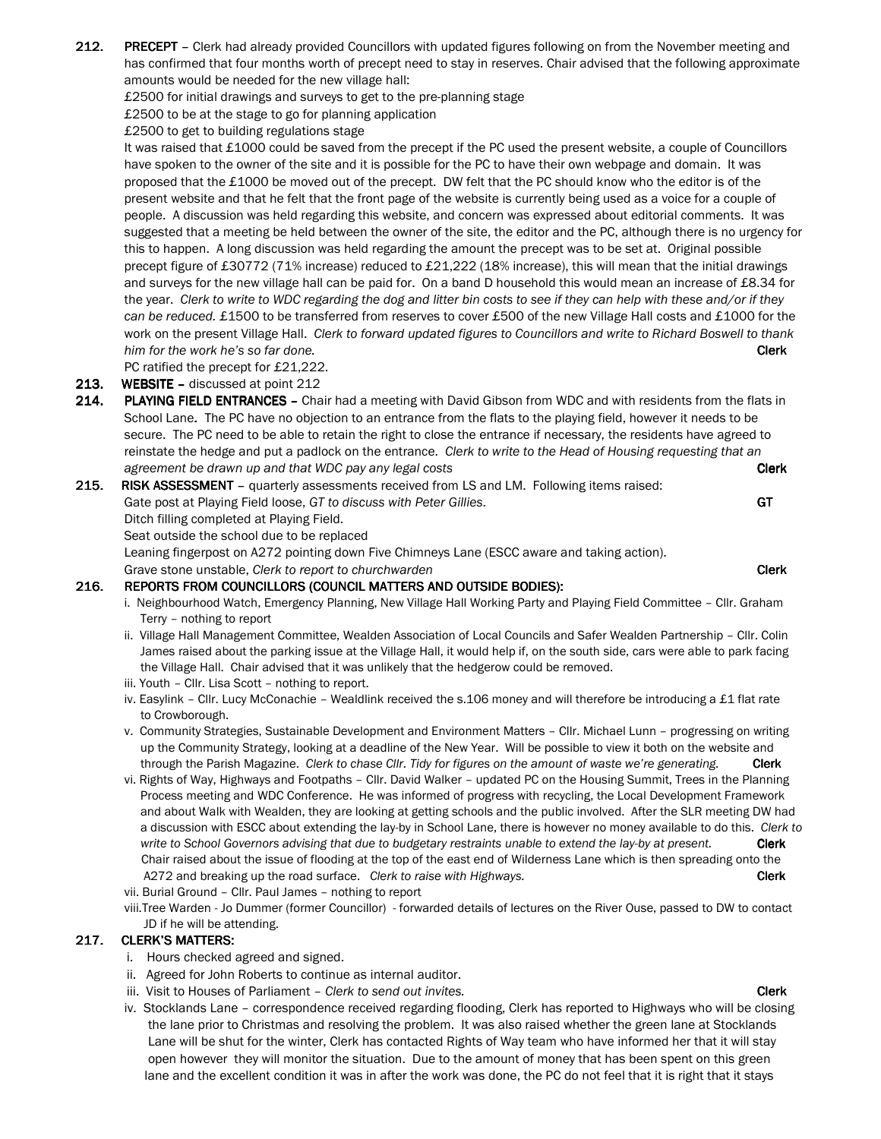|      | £2500 to get to building regulations stage                                                                                                                                                                                                                                                                                                                                                                                                                                                                                                             |  |
|------|--------------------------------------------------------------------------------------------------------------------------------------------------------------------------------------------------------------------------------------------------------------------------------------------------------------------------------------------------------------------------------------------------------------------------------------------------------------------------------------------------------------------------------------------------------|--|
|      | It was raised that £1000 could be saved from the precept if the PC used the present website, a couple of Councillors                                                                                                                                                                                                                                                                                                                                                                                                                                   |  |
|      | have spoken to the owner of the site and it is possible for the PC to have their own webpage and domain. It was                                                                                                                                                                                                                                                                                                                                                                                                                                        |  |
|      | proposed that the £1000 be moved out of the precept. DW felt that the PC should know who the editor is of the                                                                                                                                                                                                                                                                                                                                                                                                                                          |  |
|      | present website and that he felt that the front page of the website is currently being used as a voice for a couple of                                                                                                                                                                                                                                                                                                                                                                                                                                 |  |
|      | people. A discussion was held regarding this website, and concern was expressed about editorial comments. It was                                                                                                                                                                                                                                                                                                                                                                                                                                       |  |
|      | suggested that a meeting be held between the owner of the site, the editor and the PC, although there is no urgency for                                                                                                                                                                                                                                                                                                                                                                                                                                |  |
|      | this to happen. A long discussion was held regarding the amount the precept was to be set at. Original possible                                                                                                                                                                                                                                                                                                                                                                                                                                        |  |
|      | precept figure of £30772 (71% increase) reduced to £21,222 (18% increase), this will mean that the initial drawings                                                                                                                                                                                                                                                                                                                                                                                                                                    |  |
|      | and surveys for the new village hall can be paid for. On a band D household this would mean an increase of £8.34 for                                                                                                                                                                                                                                                                                                                                                                                                                                   |  |
|      | the year. Clerk to write to WDC regarding the dog and litter bin costs to see if they can help with these and/or if they                                                                                                                                                                                                                                                                                                                                                                                                                               |  |
|      | can be reduced. £1500 to be transferred from reserves to cover £500 of the new Village Hall costs and £1000 for the                                                                                                                                                                                                                                                                                                                                                                                                                                    |  |
|      | work on the present Village Hall. Clerk to forward updated figures to Councillors and write to Richard Boswell to thank                                                                                                                                                                                                                                                                                                                                                                                                                                |  |
|      | him for the work he's so far done.<br><b>Clerk</b>                                                                                                                                                                                                                                                                                                                                                                                                                                                                                                     |  |
|      | PC ratified the precept for £21,222.                                                                                                                                                                                                                                                                                                                                                                                                                                                                                                                   |  |
| 213. | <b>WEBSITE - discussed at point 212</b>                                                                                                                                                                                                                                                                                                                                                                                                                                                                                                                |  |
| 214. | PLAYING FIELD ENTRANCES - Chair had a meeting with David Gibson from WDC and with residents from the flats in                                                                                                                                                                                                                                                                                                                                                                                                                                          |  |
|      | School Lane. The PC have no objection to an entrance from the flats to the playing field, however it needs to be                                                                                                                                                                                                                                                                                                                                                                                                                                       |  |
|      | secure. The PC need to be able to retain the right to close the entrance if necessary, the residents have agreed to                                                                                                                                                                                                                                                                                                                                                                                                                                    |  |
|      | reinstate the hedge and put a padlock on the entrance. Clerk to write to the Head of Housing requesting that an                                                                                                                                                                                                                                                                                                                                                                                                                                        |  |
|      | agreement be drawn up and that WDC pay any legal costs<br><b>Clerk</b>                                                                                                                                                                                                                                                                                                                                                                                                                                                                                 |  |
| 215. | RISK ASSESSMENT - quarterly assessments received from LS and LM. Following items raised:                                                                                                                                                                                                                                                                                                                                                                                                                                                               |  |
|      | Gate post at Playing Field loose, GT to discuss with Peter Gillies.<br><b>GT</b>                                                                                                                                                                                                                                                                                                                                                                                                                                                                       |  |
|      | Ditch filling completed at Playing Field.                                                                                                                                                                                                                                                                                                                                                                                                                                                                                                              |  |
|      | Seat outside the school due to be replaced                                                                                                                                                                                                                                                                                                                                                                                                                                                                                                             |  |
|      | Leaning fingerpost on A272 pointing down Five Chimneys Lane (ESCC aware and taking action).                                                                                                                                                                                                                                                                                                                                                                                                                                                            |  |
|      | Grave stone unstable, Clerk to report to churchwarden<br><b>Clerk</b>                                                                                                                                                                                                                                                                                                                                                                                                                                                                                  |  |
| 216. | REPORTS FROM COUNCILLORS (COUNCIL MATTERS AND OUTSIDE BODIES):                                                                                                                                                                                                                                                                                                                                                                                                                                                                                         |  |
|      | i. Neighbourhood Watch, Emergency Planning, New Village Hall Working Party and Playing Field Committee - Cllr. Graham                                                                                                                                                                                                                                                                                                                                                                                                                                  |  |
|      | Terry - nothing to report                                                                                                                                                                                                                                                                                                                                                                                                                                                                                                                              |  |
|      | ii. Village Hall Management Committee, Wealden Association of Local Councils and Safer Wealden Partnership - Cllr. Colin                                                                                                                                                                                                                                                                                                                                                                                                                               |  |
|      | James raised about the parking issue at the Village Hall, it would help if, on the south side, cars were able to park facing                                                                                                                                                                                                                                                                                                                                                                                                                           |  |
|      | the Village Hall. Chair advised that it was unlikely that the hedgerow could be removed.                                                                                                                                                                                                                                                                                                                                                                                                                                                               |  |
|      | iii. Youth - Cllr. Lisa Scott - nothing to report.                                                                                                                                                                                                                                                                                                                                                                                                                                                                                                     |  |
|      | iv. Easylink - Cllr. Lucy McConachie - Wealdlink received the s.106 money and will therefore be introducing a £1 flat rate                                                                                                                                                                                                                                                                                                                                                                                                                             |  |
|      | to Crowborough.                                                                                                                                                                                                                                                                                                                                                                                                                                                                                                                                        |  |
|      | v. Community Strategies, Sustainable Development and Environment Matters - Cllr. Michael Lunn - progressing on writing<br>$\mathbf{r} = \mathbf{r} + \mathbf{r} + \mathbf{r} + \mathbf{r} + \mathbf{r} + \mathbf{r} + \mathbf{r} + \mathbf{r} + \mathbf{r} + \mathbf{r} + \mathbf{r} + \mathbf{r} + \mathbf{r} + \mathbf{r} + \mathbf{r} + \mathbf{r} + \mathbf{r} + \mathbf{r} + \mathbf{r} + \mathbf{r} + \mathbf{r} + \mathbf{r} + \mathbf{r} + \mathbf{r} + \mathbf{r} + \mathbf{r} + \mathbf{r} + \mathbf{r} + \mathbf{r} + \mathbf{r} + \mathbf$ |  |
|      |                                                                                                                                                                                                                                                                                                                                                                                                                                                                                                                                                        |  |

212. PRECEPT – Clerk had already provided Councillors with updated figures following on from the November meeting and

amounts would be needed for the new village hall:

£2500 to be at the stage to go for planning application

£2500 for initial drawings and surveys to get to the pre-planning stage

has confirmed that four months worth of precept need to stay in reserves. Chair advised that the following approximate

 up the Community Strategy, looking at a deadline of the New Year. Will be possible to view it both on the website and through the Parish Magazine. Clerk to chase Cllr. Tidy for figures on the amount of waste we're generating. Clerk

- vi. Rights of Way, Highways and Footpaths Cllr. David Walker updated PC on the Housing Summit, Trees in the Planning Process meeting and WDC Conference. He was informed of progress with recycling, the Local Development Framework and about Walk with Wealden, they are looking at getting schools and the public involved. After the SLR meeting DW had a discussion with ESCC about extending the lay-by in School Lane, there is however no money available to do this. Clerk to write to School Governors advising that due to budgetary restraints unable to extend the lay-by at present. Chair raised about the issue of flooding at the top of the east end of Wilderness Lane which is then spreading onto the A272 and breaking up the road surface. Clerk to raise with Highways.
- vii. Burial Ground Cllr. Paul James nothing to report
- viii.Tree Warden Jo Dummer (former Councillor) forwarded details of lectures on the River Ouse, passed to DW to contact JD if he will be attending.

### 217. CLERK'S MATTERS:

- i. Hours checked agreed and signed.
- ii. Agreed for John Roberts to continue as internal auditor.
- iii. Visit to Houses of Parliament Clerk to send out invites. The contract of the clerk clerk
- iv. Stocklands Lane correspondence received regarding flooding, Clerk has reported to Highways who will be closing the lane prior to Christmas and resolving the problem. It was also raised whether the green lane at Stocklands Lane will be shut for the winter, Clerk has contacted Rights of Way team who have informed her that it will stay open however they will monitor the situation. Due to the amount of money that has been spent on this green lane and the excellent condition it was in after the work was done, the PC do not feel that it is right that it stays